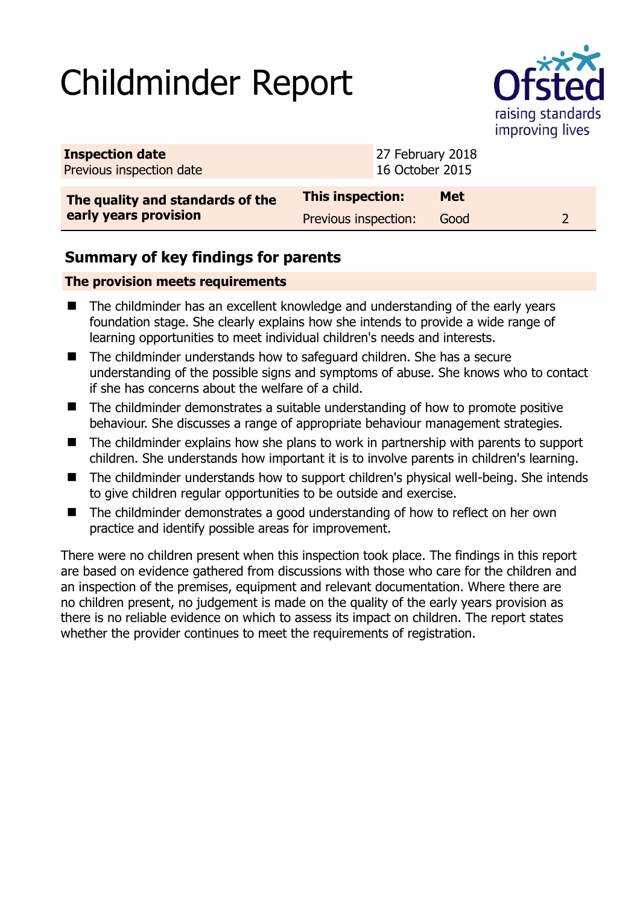# Childminder Report



| <b>Inspection date</b><br>Previous inspection date | 27 February 2018<br>16 October 2015 |            |  |
|----------------------------------------------------|-------------------------------------|------------|--|
| The quality and standards of the                   | This inspection:                    | <b>Met</b> |  |
| early years provision                              | Previous inspection:                | Good       |  |

# **Summary of key findings for parents**

## **The provision meets requirements**

- The childminder has an excellent knowledge and understanding of the early years foundation stage. She clearly explains how she intends to provide a wide range of learning opportunities to meet individual children's needs and interests.
- The childminder understands how to safeguard children. She has a secure understanding of the possible signs and symptoms of abuse. She knows who to contact if she has concerns about the welfare of a child.
- The childminder demonstrates a suitable understanding of how to promote positive behaviour. She discusses a range of appropriate behaviour management strategies.
- The childminder explains how she plans to work in partnership with parents to support children. She understands how important it is to involve parents in children's learning.
- The childminder understands how to support children's physical well-being. She intends to give children regular opportunities to be outside and exercise.
- The childminder demonstrates a good understanding of how to reflect on her own practice and identify possible areas for improvement.

There were no children present when this inspection took place. The findings in this report are based on evidence gathered from discussions with those who care for the children and an inspection of the premises, equipment and relevant documentation. Where there are no children present, no judgement is made on the quality of the early years provision as there is no reliable evidence on which to assess its impact on children. The report states whether the provider continues to meet the requirements of registration.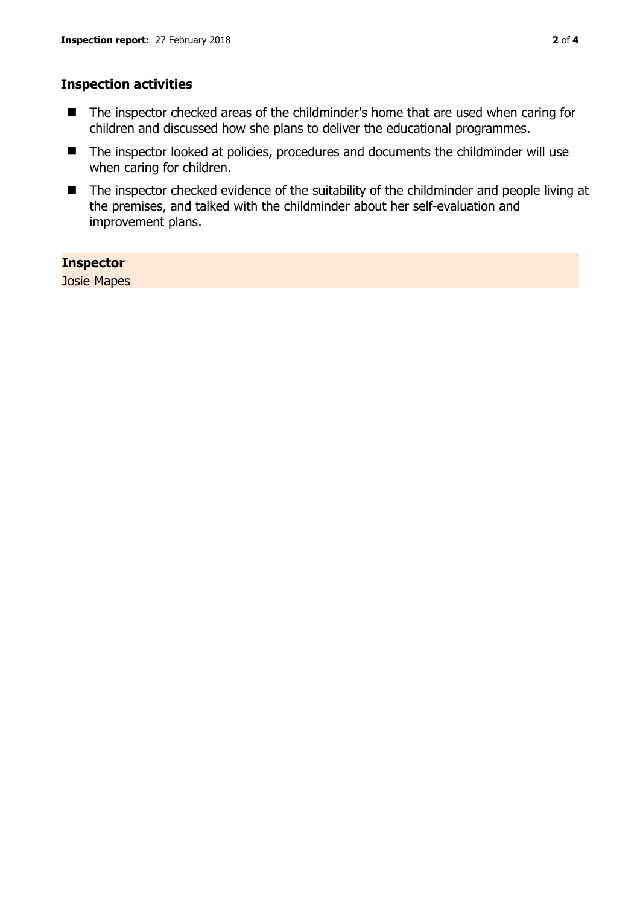#### **Inspection activities**

- The inspector checked areas of the childminder's home that are used when caring for children and discussed how she plans to deliver the educational programmes.
- The inspector looked at policies, procedures and documents the childminder will use when caring for children.
- The inspector checked evidence of the suitability of the childminder and people living at the premises, and talked with the childminder about her self-evaluation and improvement plans.

### **Inspector**

Josie Mapes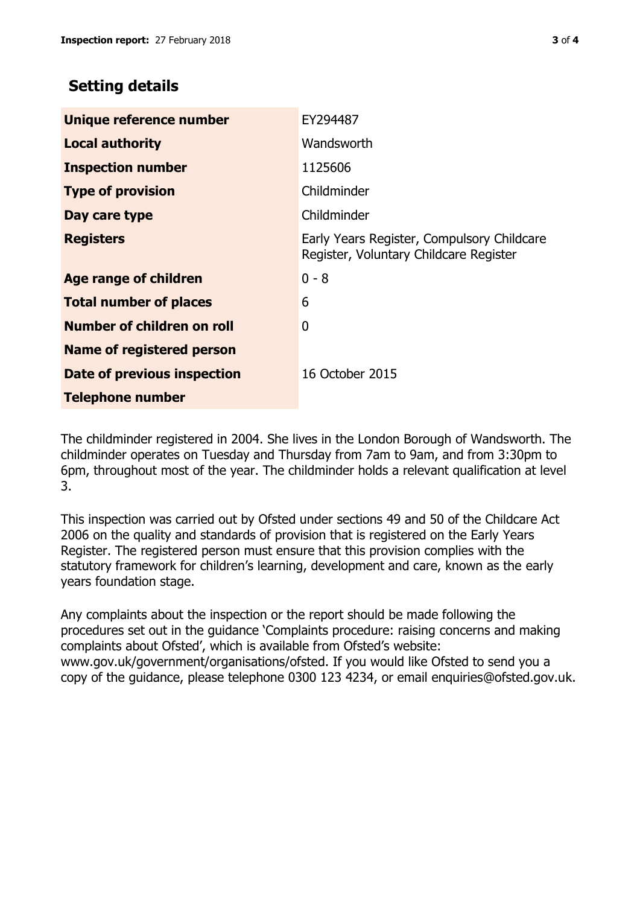# **Setting details**

| Unique reference number           | EY294487                                                                             |  |
|-----------------------------------|--------------------------------------------------------------------------------------|--|
| <b>Local authority</b>            | Wandsworth                                                                           |  |
| <b>Inspection number</b>          | 1125606                                                                              |  |
| <b>Type of provision</b>          | Childminder                                                                          |  |
| Day care type                     | Childminder                                                                          |  |
| <b>Registers</b>                  | Early Years Register, Compulsory Childcare<br>Register, Voluntary Childcare Register |  |
| <b>Age range of children</b>      | $0 - 8$                                                                              |  |
| <b>Total number of places</b>     | 6                                                                                    |  |
| <b>Number of children on roll</b> | 0                                                                                    |  |
| Name of registered person         |                                                                                      |  |
| Date of previous inspection       | 16 October 2015                                                                      |  |
| <b>Telephone number</b>           |                                                                                      |  |

The childminder registered in 2004. She lives in the London Borough of Wandsworth. The childminder operates on Tuesday and Thursday from 7am to 9am, and from 3:30pm to 6pm, throughout most of the year. The childminder holds a relevant qualification at level 3.

This inspection was carried out by Ofsted under sections 49 and 50 of the Childcare Act 2006 on the quality and standards of provision that is registered on the Early Years Register. The registered person must ensure that this provision complies with the statutory framework for children's learning, development and care, known as the early years foundation stage.

Any complaints about the inspection or the report should be made following the procedures set out in the guidance 'Complaints procedure: raising concerns and making complaints about Ofsted', which is available from Ofsted's website: www.gov.uk/government/organisations/ofsted. If you would like Ofsted to send you a copy of the guidance, please telephone 0300 123 4234, or email enquiries@ofsted.gov.uk.